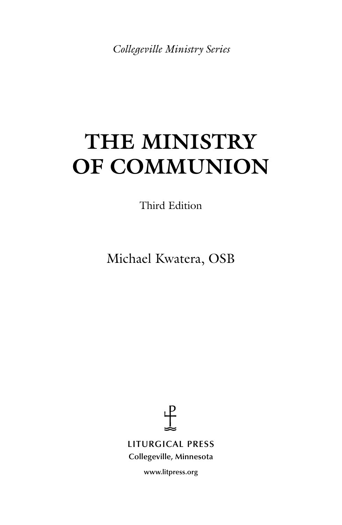*Collegeville Ministry Series*

# **THE MINISTRY OF COMMUNION**

Third Edition

Michael Kwatera, OSB



**LITURGICAL PRESS Collegeville, Minnesota**

**www.litpress.org**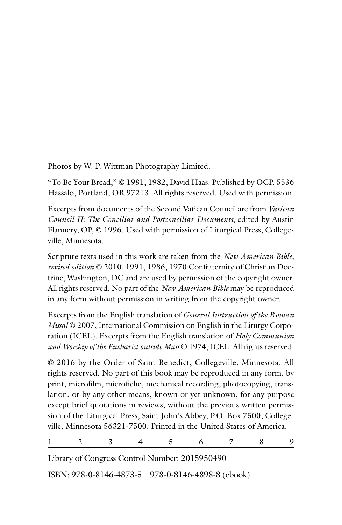Photos by W. P. Wittman Photography Limited.

"To Be Your Bread," © 1981, 1982, David Haas. Published by OCP. 5536 Hassalo, Portland, OR 97213. All rights reserved. Used with permission.

Excerpts from documents of the Second Vatican Council are from *Vatican Council II: The Conciliar and Postconciliar Documents*, edited by Austin Flannery, OP, © 1996. Used with permission of Liturgical Press, Collegeville, Minnesota.

Scripture texts used in this work are taken from the *New American Bible, revised edition* © 2010, 1991, 1986, 1970 Confraternity of Christian Doctrine, Washington, DC and are used by permission of the copyright owner. All rights reserved. No part of the *New American Bible* may be reproduced in any form without permission in writing from the copyright owner.

Excerpts from the English translation of *General Instruction of the Roman Missal* © 2007, International Commission on English in the Liturgy Corporation (ICEL). Excerpts from the English translation of *Holy Communion and Worship of the Eucharist outside Mass* © 1974, ICEL. All rights reserved.

© 2016 by the Order of Saint Benedict, Collegeville, Minnesota. All rights reserved. No part of this book may be reproduced in any form, by print, microfilm, microfiche, mechanical recording, photocopying, translation, or by any other means, known or yet unknown, for any purpose except brief quotations in reviews, without the previous written permission of the Liturgical Press, Saint John's Abbey, P.O. Box 7500, Collegeville, Minnesota 56321-7500. Printed in the United States of America.

123456789

Library of Congress Control Number: 2015950490

ISBN: 978-0-8146-4873-5 978-0-8146-4898-8 (ebook)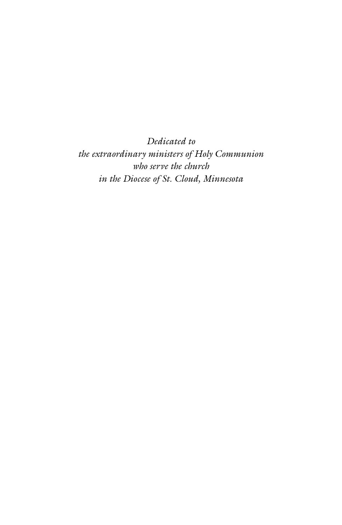*Dedicated to the extraordinary ministers of Holy Communion who serve the church in the Diocese of St. Cloud, Minnesota*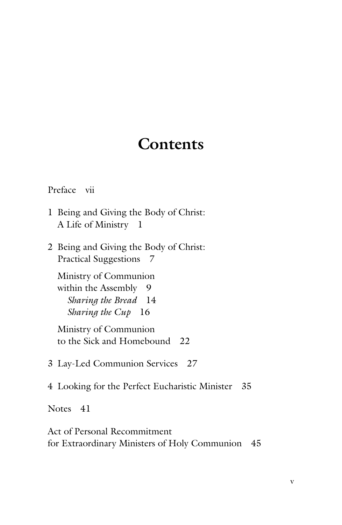### **Contents**

### Preface vii

- 1 Being and Giving the Body of Christ: A Life of Ministry 1
- 2 Being and Giving the Body of Christ: Practical Suggestions 7

Ministry of Communion within the Assembly 9 *Sharing the Bread* 14 *Sharing the Cup* 16

Ministry of Communion to the Sick and Homebound 22

- 3 Lay-Led Communion Services 27
- 4 Looking for the Perfect Eucharistic Minister 35

Notes 41

Act of Personal Recommitment for Extraordinary Ministers of Holy Communion 45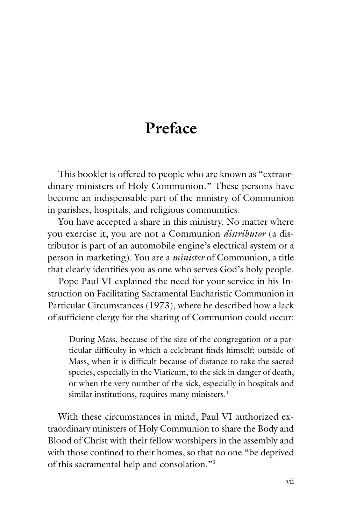## **Preface**

This booklet is offered to people who are known as "extraordinary ministers of Holy Communion." These persons have become an indispensable part of the ministry of Communion in parishes, hospitals, and religious communities.

You have accepted a share in this ministry. No matter where you exercise it, you are not a Communion *distributor* (a distributor is part of an automobile engine's electrical system or a person in marketing). You are a *minister* of Communion, a title that clearly identifies you as one who serves God's holy people.

Pope Paul VI explained the need for your service in his Instruction on Facilitating Sacramental Eucharistic Communion in Particular Circumstances (1973), where he described how a lack of sufficient clergy for the sharing of Communion could occur:

During Mass, because of the size of the congregation or a particular difficulty in which a celebrant finds himself; outside of Mass, when it is difficult because of distance to take the sacred species, especially in the Viaticum, to the sick in danger of death, or when the very number of the sick, especially in hospitals and similar institutions, requires many ministers.<sup>1</sup>

With these circumstances in mind, Paul VI authorized extraordinary ministers of Holy Communion to share the Body and Blood of Christ with their fellow worshipers in the assembly and with those confined to their homes, so that no one "be deprived of this sacramental help and consolation."2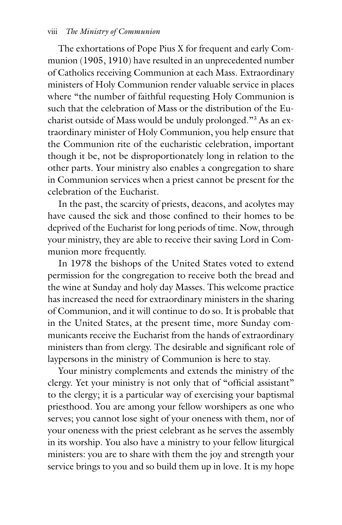The exhortations of Pope Pius X for frequent and early Communion (1905, 1910) have resulted in an unprecedented number of Catholics receiving Communion at each Mass. Extraordinary ministers of Holy Communion render valuable service in places where "the number of faithful requesting Holy Communion is such that the celebration of Mass or the distribution of the Eucharist outside of Mass would be unduly prolonged."3 As an extraordinary minister of Holy Communion, you help ensure that the Communion rite of the eucharistic celebration, important though it be, not be disproportionately long in relation to the other parts. Your ministry also enables a congregation to share in Communion services when a priest cannot be present for the celebration of the Eucharist.

In the past, the scarcity of priests, deacons, and acolytes may have caused the sick and those confined to their homes to be deprived of the Eucharist for long periods of time. Now, through your ministry, they are able to receive their saving Lord in Communion more frequently.

In 1978 the bishops of the United States voted to extend permission for the congregation to receive both the bread and the wine at Sunday and holy day Masses. This welcome practice has increased the need for extraordinary ministers in the sharing of Communion, and it will continue to do so. It is probable that in the United States, at the present time, more Sunday communicants receive the Eucharist from the hands of extraordinary ministers than from clergy. The desirable and significant role of laypersons in the ministry of Communion is here to stay.

Your ministry complements and extends the ministry of the clergy. Yet your ministry is not only that of "official assistant" to the clergy; it is a particular way of exercising your baptismal priesthood. You are among your fellow worshipers as one who serves; you cannot lose sight of your oneness with them, nor of your oneness with the priest celebrant as he serves the assembly in its worship. You also have a ministry to your fellow liturgical ministers: you are to share with them the joy and strength your service brings to you and so build them up in love. It is my hope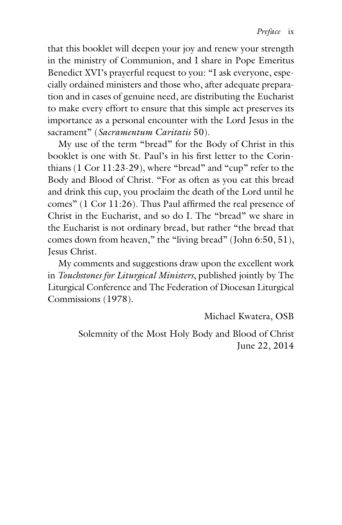that this booklet will deepen your joy and renew your strength in the ministry of Communion, and I share in Pope Emeritus Benedict XVI's prayerful request to you: "I ask everyone, especially ordained ministers and those who, after adequate preparation and in cases of genuine need, are distributing the Eucharist to make every effort to ensure that this simple act preserves its importance as a personal encounter with the Lord Jesus in the sacrament" (*Sacramentum Caritatis* 50).

My use of the term "bread" for the Body of Christ in this booklet is one with St. Paul's in his first letter to the Corinthians (1 Cor 11:23-29), where "bread" and "cup" refer to the Body and Blood of Christ. "For as often as you eat this bread and drink this cup, you proclaim the death of the Lord until he comes" (1 Cor 11:26). Thus Paul affirmed the real presence of Christ in the Eucharist, and so do I. The "bread" we share in the Eucharist is not ordinary bread, but rather "the bread that comes down from heaven," the "living bread" (John 6:50, 51), Jesus Christ.

My comments and suggestions draw upon the excellent work in *Touchstones for Liturgical Ministers*, published jointly by The Liturgical Conference and The Federation of Diocesan Liturgical Commissions (1978).

Michael Kwatera, OSB

Solemnity of the Most Holy Body and Blood of Christ June 22, 2014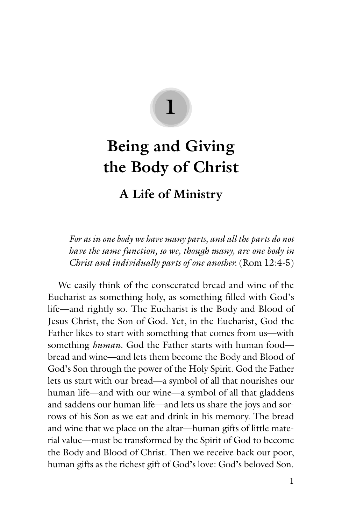# **1**

## **Being and Giving the Body of Christ**

### **A Life of Ministry**

*For as in one body we have many parts, and all the parts do not have the same function, so we, though many, are one body in Christ and individually parts of one another.* (Rom 12:4-5)

We easily think of the consecrated bread and wine of the Eucharist as something holy, as something filled with God's life—and rightly so. The Eucharist is the Body and Blood of Jesus Christ, the Son of God. Yet, in the Eucharist, God the Father likes to start with something that comes from us—with something *human*. God the Father starts with human food bread and wine—and lets them become the Body and Blood of God's Son through the power of the Holy Spirit. God the Father lets us start with our bread—a symbol of all that nourishes our human life—and with our wine—a symbol of all that gladdens and saddens our human life—and lets us share the joys and sorrows of his Son as we eat and drink in his memory. The bread and wine that we place on the altar—human gifts of little material value—must be transformed by the Spirit of God to become the Body and Blood of Christ. Then we receive back our poor, human gifts as the richest gift of God's love: God's beloved Son.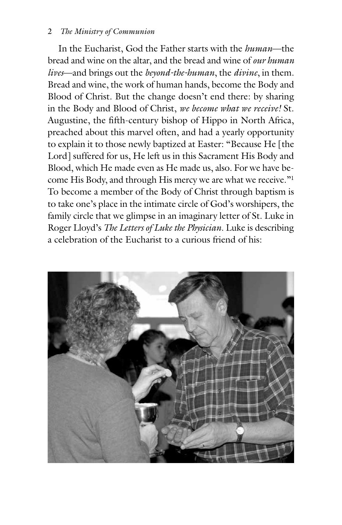#### 2 *The Ministry of Communion*

In the Eucharist, God the Father starts with the *human*—the bread and wine on the altar, and the bread and wine of *our human lives*—and brings out the *beyond-the-human*, the *divine*, in them. Bread and wine, the work of human hands, become the Body and Blood of Christ. But the change doesn't end there: by sharing in the Body and Blood of Christ, *we become what we receive!* St. Augustine, the fifth-century bishop of Hippo in North Africa, preached about this marvel often, and had a yearly opportunity to explain it to those newly baptized at Easter: "Because He [the Lord] suffered for us, He left us in this Sacrament His Body and Blood, which He made even as He made us, also. For we have become His Body, and through His mercy we are what we receive."1 To become a member of the Body of Christ through baptism is to take one's place in the intimate circle of God's worshipers, the family circle that we glimpse in an imaginary letter of St. Luke in Roger Lloyd's *The Letters of Luke the Physician*. Luke is describing a celebration of the Eucharist to a curious friend of his:

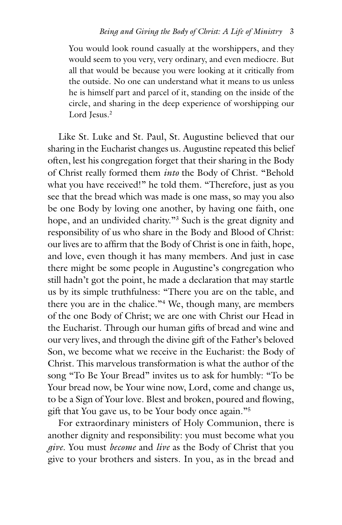You would look round casually at the worshippers, and they would seem to you very, very ordinary, and even mediocre. But all that would be because you were looking at it critically from the outside. No one can understand what it means to us unless he is himself part and parcel of it, standing on the inside of the circle, and sharing in the deep experience of worshipping our Lord Jesus.<sup>2</sup>

Like St. Luke and St. Paul, St. Augustine believed that our sharing in the Eucharist changes us. Augustine repeated this belief often, lest his congregation forget that their sharing in the Body of Christ really formed them *into* the Body of Christ. "Behold what you have received!" he told them. "Therefore, just as you see that the bread which was made is one mass, so may you also be one Body by loving one another, by having one faith, one hope, and an undivided charity."<sup>3</sup> Such is the great dignity and responsibility of us who share in the Body and Blood of Christ: our lives are to affirm that the Body of Christ is one in faith, hope, and love, even though it has many members. And just in case there might be some people in Augustine's congregation who still hadn't got the point, he made a declaration that may startle us by its simple truthfulness: "There you are on the table, and there you are in the chalice."4 We, though many, are members of the one Body of Christ; we are one with Christ our Head in the Eucharist. Through our human gifts of bread and wine and our very lives, and through the divine gift of the Father's beloved Son, we become what we receive in the Eucharist: the Body of Christ. This marvelous transformation is what the author of the song "To Be Your Bread" invites us to ask for humbly: "To be Your bread now, be Your wine now, Lord, come and change us, to be a Sign of Your love. Blest and broken, poured and flowing, gift that You gave us, to be Your body once again."5

For extraordinary ministers of Holy Communion, there is another dignity and responsibility: you must become what you *give*. You must *become* and *live* as the Body of Christ that you give to your brothers and sisters. In you, as in the bread and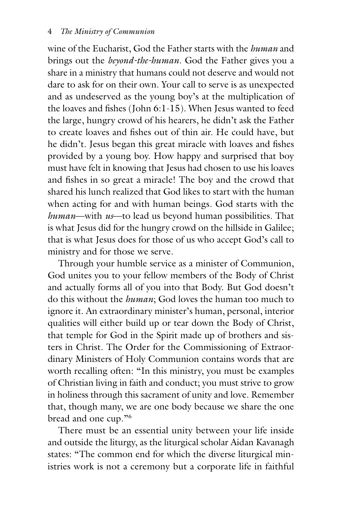wine of the Eucharist, God the Father starts with the *human* and brings out the *beyond-the-human*. God the Father gives you a share in a ministry that humans could not deserve and would not dare to ask for on their own. Your call to serve is as unexpected and as undeserved as the young boy's at the multiplication of the loaves and fishes (John 6:1-15). When Jesus wanted to feed the large, hungry crowd of his hearers, he didn't ask the Father to create loaves and fishes out of thin air. He could have, but he didn't. Jesus began this great miracle with loaves and fishes provided by a young boy. How happy and surprised that boy must have felt in knowing that Jesus had chosen to use his loaves and fishes in so great a miracle! The boy and the crowd that shared his lunch realized that God likes to start with the human when acting for and with human beings. God starts with the *human*—with *us*—to lead us beyond human possibilities. That is what Jesus did for the hungry crowd on the hillside in Galilee; that is what Jesus does for those of us who accept God's call to ministry and for those we serve.

Through your humble service as a minister of Communion, God unites you to your fellow members of the Body of Christ and actually forms all of you into that Body. But God doesn't do this without the *human*; God loves the human too much to ignore it. An extraordinary minister's human, personal, interior qualities will either build up or tear down the Body of Christ, that temple for God in the Spirit made up of brothers and sisters in Christ. The Order for the Commissioning of Extraordinary Ministers of Holy Communion contains words that are worth recalling often: "In this ministry, you must be examples of Christian living in faith and conduct; you must strive to grow in holiness through this sacrament of unity and love. Remember that, though many, we are one body because we share the one bread and one cup."6

There must be an essential unity between your life inside and outside the liturgy, as the liturgical scholar Aidan Kavanagh states: "The common end for which the diverse liturgical ministries work is not a ceremony but a corporate life in faithful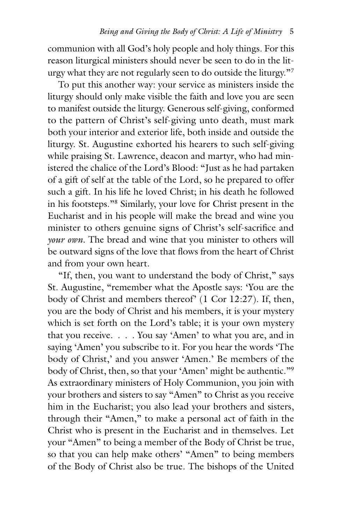communion with all God's holy people and holy things. For this reason liturgical ministers should never be seen to do in the liturgy what they are not regularly seen to do outside the liturgy."7

To put this another way: your service as ministers inside the liturgy should only make visible the faith and love you are seen to manifest outside the liturgy. Generous self-giving, conformed to the pattern of Christ's self-giving unto death, must mark both your interior and exterior life, both inside and outside the liturgy. St. Augustine exhorted his hearers to such self-giving while praising St. Lawrence, deacon and martyr, who had ministered the chalice of the Lord's Blood: "Just as he had partaken of a gift of self at the table of the Lord, so he prepared to offer such a gift. In his life he loved Christ; in his death he followed in his footsteps."8 Similarly, your love for Christ present in the Eucharist and in his people will make the bread and wine you minister to others genuine signs of Christ's self-sacrifice and *your own*. The bread and wine that you minister to others will be outward signs of the love that flows from the heart of Christ and from your own heart.

"If, then, you want to understand the body of Christ," says St. Augustine, "remember what the Apostle says: 'You are the body of Christ and members thereof' (1 Cor 12:27). If, then, you are the body of Christ and his members, it is your mystery which is set forth on the Lord's table; it is your own mystery that you receive. . . . You say 'Amen' to what you are, and in saying 'Amen' you subscribe to it. For you hear the words 'The body of Christ,' and you answer 'Amen.' Be members of the body of Christ, then, so that your 'Amen' might be authentic."<sup>9</sup> As extraordinary ministers of Holy Communion, you join with your brothers and sisters to say "Amen" to Christ as you receive him in the Eucharist; you also lead your brothers and sisters, through their "Amen," to make a personal act of faith in the Christ who is present in the Eucharist and in themselves. Let your "Amen" to being a member of the Body of Christ be true, so that you can help make others' "Amen" to being members of the Body of Christ also be true. The bishops of the United